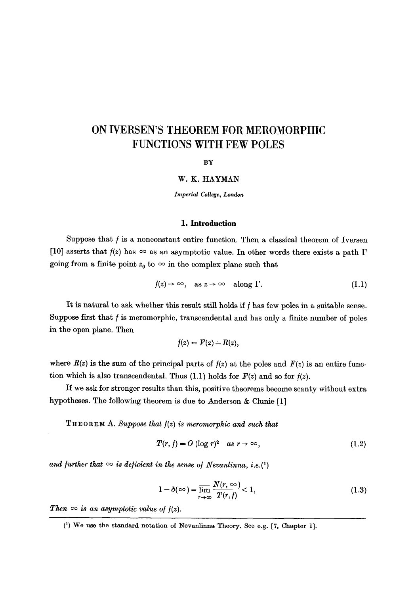# **ON IVERSEN'S THEOREM FOR MEROMORPHIC FUNCTIONS WITH FEW POLES**

**BY** 

### W. K. HAYMAN

*Imperial College, London* 

#### 1. **Introduction**

Suppose that  $f$  is a nonconstant entire function. Then a classical theorem of Iversen [10] asserts that  $f(z)$  has  $\infty$  as an asymptotic value. In other words there exists a path  $\Gamma$ going from a finite point  $z_0$  to  $\infty$  in the complex plane such that

$$
f(z) \to \infty, \quad \text{as } z \to \infty \quad \text{along } \Gamma. \tag{1.1}
$$

It is natural to ask whether this result still holds if  $f$  has few poles in a suitable sense. Suppose first that  $f$  is meromorphic, transcendental and has only a finite number of poles in the open plane. Then

$$
f(z) = F(z) + R(z),
$$

where  $R(z)$  is the sum of the principal parts of  $f(z)$  at the poles and  $F(z)$  is an entire function which is also transcendental. Thus  $(1.1)$  holds for  $F(z)$  and so for  $f(z)$ .

If we ask for stronger results than this, positive theorems become scanty without extra hypotheses. The following theorem is due to Anderson & Clunie [1]

**THEOREM A.** Suppose that  $f(z)$  is meromorphic and such that

$$
T(r, f) = O(\log r)^2 \quad as \ r \to \infty,
$$
\n(1.2)

and further that  $\infty$  is deficient in the sense of Nevanlinna, i.e.(1)

$$
1 - \delta(\infty) = \overline{\lim}_{r \to \infty} \frac{N(r, \infty)}{T(r, f)} < 1,\tag{1.3}
$$

*Then*  $\infty$  *is an asymptotic value of*  $f(z)$ *.* 

<sup>(1)</sup> We use the standard notation of Nevanlinna Theory. See e.g. [7, Chapter 1].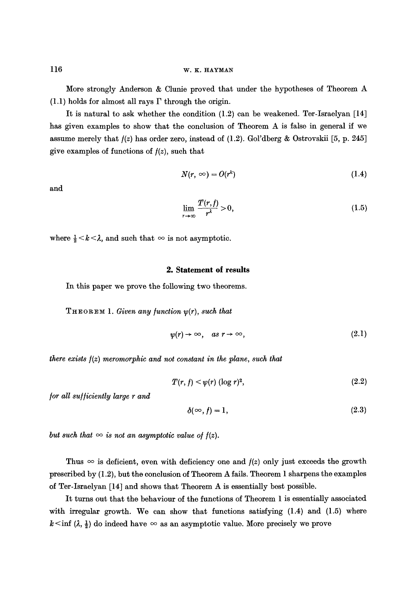More strongly Anderson & Clunie proved that under the hypotheses of Theorem A  $(1.1)$  holds for almost all rays  $\Gamma$  through the origin.

It is natural to ask whether the condition (1.2) can be weakened. Ter-Israelyan [14] has given examples to show that the conclusion of Theorem A is false in general if we assume merely that  $f(z)$  has order zero, instead of (1.2). Gol'dberg & Ostrovskii [5, p. 245] give examples of functions of  $f(z)$ , such that

$$
N(r, \infty) = O(r^k) \tag{1.4}
$$

and

$$
\lim_{r \to \infty} \frac{T(r, f)}{r^{\lambda}} > 0,
$$
\n(1.5)

where  $\frac{1}{2} < k < \lambda$ , and such that  $\infty$  is not asymptotic.

#### **2. Statement of results**

In this paper we prove the following two theorems.

THEOREM 1. *Given any function*  $\psi(r)$ *, such that* 

$$
\psi(r) \to \infty, \quad as \; r \to \infty,\tag{2.1}
$$

*there exists*  $f(z)$  *meromorphic and not constant in the plane, such that* 

$$
T(r, f) < \psi(r) \left(\log r\right)^2,\tag{2.2}
$$

*/or all su//iciently large r and* 

$$
\delta(\infty, f) = 1,\tag{2.3}
$$

*but such that*  $\infty$  *is not an asymptotic value of*  $f(z)$ *.* 

Thus  $\infty$  is deficient, even with deficiency one and  $f(z)$  only just exceeds the growth prescribed by (1.2), but the conclusion of Theorem A fails. Theorem 1 sharpens the examples of Ter-Israelyan [14] and shows that Theorem A is essentially best possible.

It turns out that the behaviour of the functions of Theorem 1 is essentially associated with irregular growth. We can show that functions satisfying  $(1.4)$  and  $(1.5)$  where  $k \le \inf (\lambda, \frac{1}{2})$  do indeed have  $\infty$  as an asymptotic value. More precisely we prove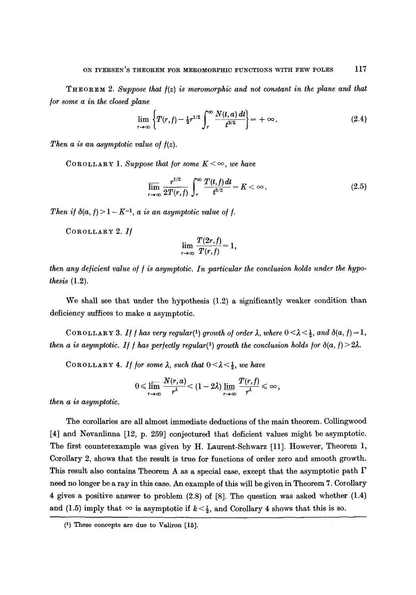$T_H$ **EOREM** 2. *Suppose that*  $f(z)$  *is meromorphic and not constant in the plane and that /or some a in the closed plane* 

$$
\lim_{r \to \infty} \left\{ T(r, f) - \frac{1}{2} r^{1/2} \int_r^{\infty} \frac{N(t, a) dt}{t^{3/2}} \right\} = + \infty.
$$
 (2.4)

*Then a is an asymptotic value of*  $f(z)$ *.* 

COROLLARY 1. *Suppose that for some*  $K < \infty$ *, we have* 

$$
\overline{\lim}_{r\to\infty}\frac{r^{1/2}}{2T(r,f)}\int_r^{\infty}\frac{T(t,f)dt}{t^{3/2}}=K<\infty.
$$
\n(2.5)

*Then if*  $\delta(a, f) > 1 - K^{-1}$ , *a is an asymptotic value of f.* 

COROLLAaV 2. *I/* 

$$
\lim_{r\to\infty}\frac{T(2r,f)}{T(r,f)}=1,
$$

*then any deficient value of f is asymptotic. In particular the conclusion holds under the hypothesis* (1.2).

We shall see that under the hypothesis  $(1.2)$  a significantly weaker condition than deficiency suffices to make a asymptotic.

COROLLARY 3. If f has very regular<sup>(1)</sup> growth of order  $\lambda$ , where  $0 \leq \lambda \leq \frac{1}{2}$ , and  $\delta(a, f) = 1$ , *then a is asymptotic. If f has perfectly regular(1) growth the conclusion holds for*  $\delta(a, f) > 2\lambda$ *.* 

COROLLARY 4. *If for some*  $\lambda$ *, such that*  $0 < \lambda < \frac{1}{2}$ , *we have* 

$$
0\leqslant \mathop{\overline{\lim}}_{r\to\infty}\frac{N(r,a)}{r^\lambda}\leqslant (1-2\lambda)\mathop{\overline{\lim}}_{r\to\infty}\frac{T(r,f)}{r^\lambda}\leqslant\infty\,,
$$

*then a is asymptotic.* 

The corollaries are all almost immediate deductions of the main theorem. Collingwood [4] and Novanlinna [12, p. 259] conjectured that deficient values might be asymptotic. The first counterexample was given by H. Laurent-Schwarz [11]. However, Theorem 1, Corollary 2, shows that the result is true for functions of order zero and smooth growth. This result also contains Theorem A as a special case, except that the asymptotic path  $\Gamma$ need no longer be a ray in this case. An example of this will be given in Theorem 7. Corollary 4 gives a positive answer to problem (2.8) of [8]. The question was asked whether (1.4) and (1.5) imply that  $\infty$  is asymptotic if  $k < \frac{1}{2}$ , and Corollary 4 shows that this is so.

<sup>(1)</sup> These concepts are due to Valiron [15].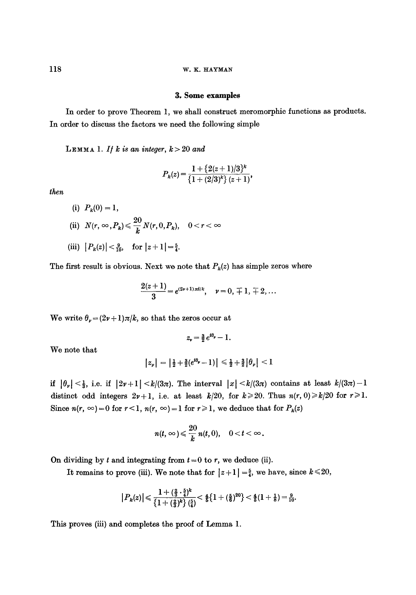#### **3. Some examples**

In order to prove Theorem 1, we shall construct meromorphie functions as products. In order to discuss the factors we need the following simple

LEMMA 1. If  $k$  is an integer,  $k > 20$  and

$$
P_k(z) = \frac{1 + \{2(z+1)/3\}^k}{\{1 + (2/3)^k\} (z+1)},
$$

*then* 

(i)  $P_k(0) = 1$ , (ii)  $N(r, \infty, P_k) \leq \frac{20}{r} N(r, 0, P_k)$ ,  $0 < r <$ (iii)  $|P_k(z)| < \frac{9}{10}$ , for  $|z+1| = \frac{5}{4}$ .

The first result is obvious. Next we note that  $P_k(z)$  has simple zeros where

$$
\frac{2(z+1)}{3}=e^{(2\nu+1)\pi i/k}, \quad \nu=0, \ \mp 1, \ \mp 2, \ldots
$$

We write  $\theta_{\nu} = (2\nu + 1)\pi/k$ , so that the zeros occur at

$$
z_{\nu} = \frac{3}{2}e^{i\theta_{\nu}} - 1.
$$

We note that

$$
|z_{\nu}| = |\tfrac{1}{2} + \tfrac{3}{2}(e^{i\theta_{\nu}} - 1)| \leq \tfrac{1}{2} + \tfrac{3}{2}|\theta_{\nu}| < 1
$$

**if**  $|\theta_{\nu}| < \frac{1}{3}$ , i.e. if  $|2\nu+1| < k/(3\pi)$ . The interval  $|x| < k/(3\pi)$  contains at least  $k/(3\pi)-1$ distinct odd integers  $2\nu+1$ , i.e. at least  $k/20$ , for  $k\geq 20$ . Thus  $n(r, 0)\geq k/20$  for  $r\geq 1$ . Since  $n(r, \infty) = 0$  for  $r < 1$ ,  $n(r, \infty) = 1$  for  $r \ge 1$ , we deduce that for  $P_k(z)$ 

$$
n(t,\infty)\leqslant \frac{20}{k}\,n(t,0),\quad 0
$$

On dividing by t and integrating from  $t = 0$  to r, we deduce (ii).

It remains to prove (iii). We note that for  $|z+1| = \frac{5}{4}$ , we have, since  $k \le 20$ ,

$$
\big|P_k(z)\big|\!\leqslant\!\frac{1+(\frac{2}{3}\cdot\frac{5}{4})^k}{\big\{1+(\frac{2}{3})^k\big\}\left(\frac{5}{4}\right)}\!<\!\tfrac{4}{5}\!\big\{1+(\frac{5}{6})^{20}\big\}<\tfrac{4}{5}(1+\tfrac{1}{8})\!=\!\tfrac{9}{10}.
$$

This proves (iii) and completes the proof of Lemma 1.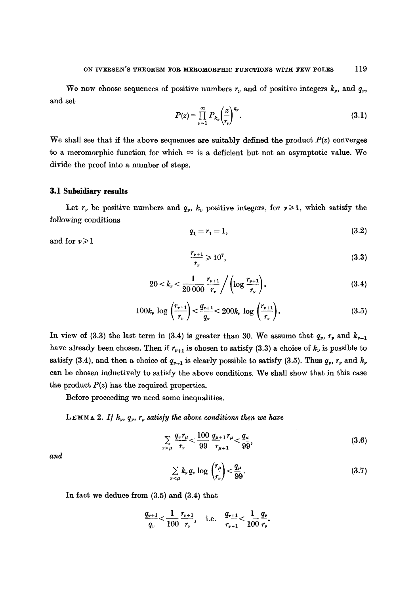We now choose sequences of positive numbers  $r<sub>v</sub>$  and of positive integers  $k<sub>v</sub>$ , and  $q<sub>v</sub>$ , and set

$$
P(z) = \prod_{\nu=1}^{\infty} P_{k_{\nu}} \left(\frac{z}{r_{\nu}}\right)^{q_{\nu}}.
$$
 (3.1)

We shall see that if the above sequences are suitably defined the product  $P(z)$  converges to a meromorphic function for which  $\infty$  is a deficient but not an asymptotic value. We divide the proof into a number of steps.

## **3.1 Subsidiary results**

Let  $r_v$  be positive numbers and  $q_v$ ,  $k_v$  positive integers, for  $v \ge 1$ , which satisfy the following conditions

$$
q_1 = r_1 = 1,\t\t(3.2)
$$

and for  $v \ge 1$ 

$$
\frac{r_{\nu+1}}{r_{\nu}} \geqslant 10^7,\tag{3.3}
$$

$$
20 < k_r < \frac{1}{20\,000} \, \frac{r_{\nu+1}}{r_{\nu}} \Bigg/ \left( \log \frac{r_{\nu+1}}{r_{\nu}} \right). \tag{3.4}
$$

$$
100k_r \log \left(\frac{r_{\nu+1}}{r_{\nu}}\right) < \frac{q_{\nu+1}}{q_{\nu}} < 200k_r \log \left(\frac{r_{\nu+1}}{r_{\nu}}\right). \tag{3.5}
$$

In view of (3.3) the last term in (3.4) is greater than 30. We assume that  $q_{\nu}$ ,  $r_{\nu}$  and  $k_{\nu-1}$ have already been chosen. Then if  $r_{v+1}$  is chosen to satisfy (3.3) a choice of  $k_v$  is possible to satisfy (3.4), and then a choice of  $q_{\nu+1}$  is clearly possible to satisfy (3.5). Thus  $q_{\nu}$ ,  $r_{\nu}$  and  $k_{\nu}$ can be chosen inductively to satisfy the above conditions. We shall show that in this case the product  $P(z)$  has the required properties.

Before proceeding we need some inequalities.

**LEMMA** 2. If  $k_v$ ,  $q_v$ ,  $r_v$  satisfy the above conditions then we have

$$
\sum_{\nu>\mu}\frac{q_{\nu}r_{\mu}}{r_{\nu}}<\frac{100}{99}\frac{q_{\mu+1}r_{\mu}}{r_{\mu+1}}<\frac{q_{\mu}}{99},\tag{3.6}
$$

and

$$
\sum_{\nu < \mu} k_{\nu} q_{\nu} \log \left( \frac{r_{\mu}}{r_{\nu}} \right) < \frac{q_{\mu}}{99}.
$$
\n(3.7)

In fact we deduce from (3.5) and (3.4) that

$$
\frac{q_{\nu+1}}{q_{\nu}} < \frac{1}{100} \frac{r_{\nu+1}}{r_{\nu}}, \quad \text{i.e.} \quad \frac{q_{\nu+1}}{r_{\nu+1}} < \frac{1}{100} \frac{q_{\nu}}{r_{\nu}}.
$$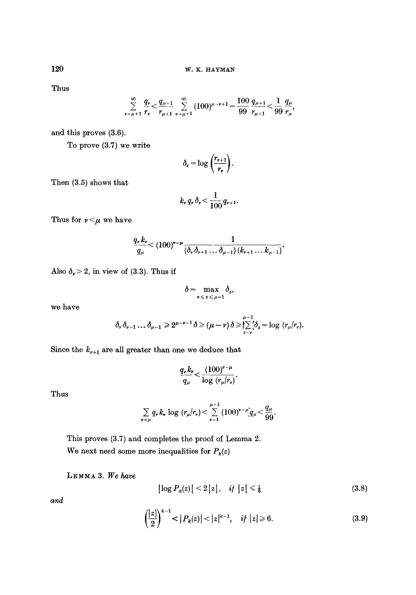Thus

$$
\sum_{\nu=\mu+1}^{\infty}\frac{q_{\nu}}{r_{\nu}}<\frac{q_{\mu+1}}{r_{\mu+1}}\sum_{\nu=\mu+1}^{\infty}(100)^{\mu-\nu+1}=\frac{100}{99}\frac{q_{\mu+1}}{r_{\mu+1}}<\frac{1}{99}\frac{q_{\mu}}{r_{\mu}},
$$

and this proves (3.6).

To prove (3.7) we write

$$
\delta_{\nu} = \log \left( \frac{r_{\nu+1}}{r_{\nu}} \right).
$$

Then (3.5) shows that

$$
k_{\nu} q_{\nu} \delta_{\nu} < \frac{1}{100} q_{\nu+1}.
$$

Thus for  $\nu < \mu$  we have

$$
\frac{q_{\nu}k_{\nu}}{q_{\mu}} < (100)^{\nu-\mu}\frac{1}{(\delta_{\nu}\delta_{\nu+1}\dots\delta_{\mu-1})(k_{\nu+1}\dots k_{\mu-1})}.
$$

Also  $\delta_{\nu} > 2$ , in view of (3.3). Thus if

$$
\delta = \max_{\nu \leqslant s \leqslant \mu-1} \delta_s,
$$

we have

$$
\delta_{\nu}\delta_{\nu+1}\dots\delta_{\mu-1}\geq 2^{\mu-\nu-1}\delta\geqslant (\mu-\nu)\delta\geqslant \sum_{s=\nu}^{\mu-1}\delta_s=\log\ (r_{\mu}|r_{\nu}).
$$

Since the  $k_{\nu+1}$  are all greater than one we deduce that

$$
\frac{q_{\nu}k_{\nu}}{q_{\mu}} < \frac{\left(100\right)^{\nu-\mu}}{\log(r_{\mu}/r_{\nu})}.
$$

Thus

$$
\sum_{\nu \leq \mu} q_{\nu} k_{\nu} \log (r_{\mu}/r_{\nu}) < \sum_{\nu=1}^{\mu-1} (100)^{\nu-\mu} q_{\mu} < \frac{q_{\mu}}{99}.
$$

This proves (3.7) and completes the proof of Lemma 2. We next need some more inequalities for  $P_k(z)$ 

LEMMA 3. We have

$$
|\log P_k(z)| < 2|z|, \quad \text{if } |z| \leq \frac{1}{6} \tag{3.8}
$$

*and* 

$$
\left(\frac{|z|}{2}\right)^{k-1} < |P_k(z)| < |z|^{k-1}, \quad \text{if } |z| \ge 6. \tag{3.9}
$$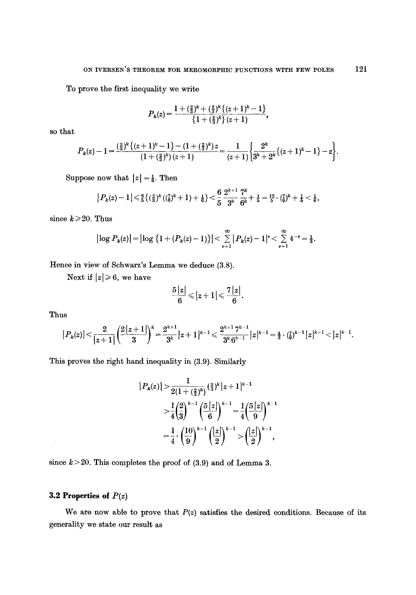To prove the first inequality we write

$$
P_k(z) = \frac{1 + (\frac{2}{3})^k + (\frac{2}{3})^k \{(z+1)^k - 1\}}{\{1 + (\frac{2}{3})^k\}(z+1)},
$$

so that

$$
P_k(z)-1=\frac{\left(\frac{2}{3}\right)^k\left\{(z+1)^k-1\right\}-(1+\left(\frac{2}{3}\right)^k)z}{(1+\left(\frac{2}{3}\right)^k)(z+1)}=\frac{1}{(z+1)}\left\{\frac{2^k}{3^k+2^k}\left\{(z+1)^k-1\right\}-z\right\}.
$$

Suppose now that  $|z| = \frac{1}{6}$ . Then

$$
\big|P_k(z)-1\big|\!\leqslant\!\tfrac{6}{5}\big\{(\tfrac{2}{3})^k\,((\tfrac{7}{6})^k+1)+\tfrac{1}{6}\big\}\!<\!\frac{6}{5}\,\frac{2^{k+1}}{3^k}\frac{7^k}{6^k}\!+\tfrac{1}{5}\!=\!\tfrac{12}{5}\cdot(\tfrac{7}{9})^k\!+\tfrac{1}{5}\!<\!\tfrac{1}{4},
$$

since  $k \ge 20$ . Thus

$$
\big|\log P_k(z)\big| = \big|\log \big\{1+(P_k(z)-1)\big\}\big| < \sum_{\nu=1}^\infty \big|P_k(z)-1\big|^\nu < \sum_{\nu=1}^\infty 4^{-\nu} = \frac{1}{3}.
$$

Hence in view of Schwarz's Lemma we deduce (3.8).

Next if  $|z| \ge 6$ , we have

$$
\frac{5\left|z\right|}{6}\leqslant\left|z+1\right|\leqslant\frac{7\left|z\right|}{6}.
$$

Thus

 $\hat{\mathcal{A}}$ 

$$
\big|P_k(z)\big|\!<\!\frac{2}{\big|z+1\big|}\!\left(\!\frac{2\big|z+1\big|}{3}\!\right)^{\!k} \!=\!\frac{2^{k+1}}{3^k}\big|z+1\big|^{k-1}\!\leqslant \frac{2^{k+1}\,7^{k-1}}{3^k\,6^{k-1}}\big|z\big|^{k-1} \!=\! \tfrac{4}{3}\cdot\tbinom{7}{6}^{k-1}\big|z\big|^{k-1}\!<\!|z|^{k-1}.
$$

This proves the right hand inequality in (3.9). Similarly

$$
|P_k(z)| > \frac{1}{2(1+(\frac{2}{3})^k)}(\frac{2}{3})^k |z+1|^{k-1}
$$
  

$$
> \frac{1}{4}(\frac{2}{3})^{k-1}(\frac{5|z|}{6})^{k-1} = \frac{1}{4}(\frac{5|z|}{9})^{k-1}
$$
  

$$
= \frac{1}{4} \cdot (\frac{10}{9})^{k-1}(\frac{|z|}{2})^{k-1} > (\frac{|z|}{2})^{k-1},
$$

since  $k>20$ . This completes the proof of (3.9) and of Lemma 3.

## **3.2 Properties of** *P(z)*

We are now able to prove that  $P(z)$  satisfies the desired conditions. Because of its generality we state our result as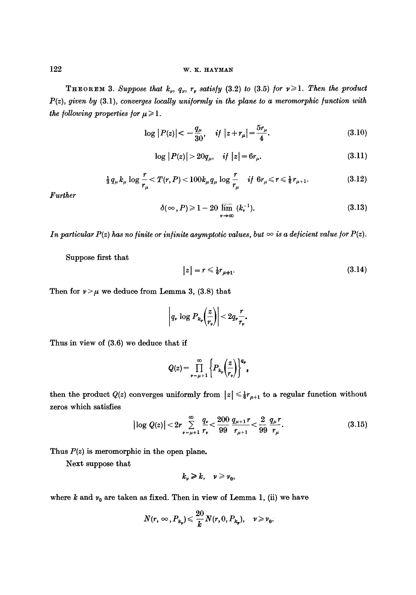**THEOREM 3.** Suppose that  $k_p$ ,  $q_p$ ,  $r_p$  satisfy (3.2) to (3.5) for  $v \ge 1$ . Then the product *P(z), given by* (3.1), *converges locally uni/ormly in the plane to a meromorphic /unction with the following properties for*  $\mu \ge 1$ *.* 

$$
\log |P(z)| < -\frac{q_{\mu}}{30}, \quad \text{if } |z + r_{\mu}| = \frac{5r_{\mu}}{4}.\tag{3.10}
$$

$$
\log |P(z)| > 20q_{\mu}, \quad if \ |z| = 6r_{\mu}.
$$
 (3.11)

$$
\frac{1}{3} q_{\mu} k_{\mu} \log \frac{r}{r_{\mu}} < T(r, P) < 100 k_{\mu} q_{\mu} \log \frac{r}{r_{\mu}} \quad \text{if } 6r_{\mu} \leq r \leq \frac{1}{6} r_{\mu+1}.
$$
 (3.12)

*Further* 

$$
\delta(\infty, P) \geq 1 - 20 \lim_{\nu \to \infty} (k_{\nu}^{-1}). \tag{3.13}
$$

*In particular P(z) has no finite or infinite asymptotic values, but*  $\infty$  *is a deficient value for P(z).* 

Suppose first that

$$
|z| = r \leq \frac{1}{6}r_{\mu+1}.\tag{3.14}
$$

Then for  $\nu > \mu$  we deduce from Lemma 3, (3.8) that

$$
\left| q_* \log P_{k_{\mathfrak{p}}} \left( \frac{z}{r_{\mathfrak{p}}} \right) \right| < 2q_{\mathfrak{p}} \frac{r}{r_{\mathfrak{p}}}.
$$

Thus in view of (3.6) we deduce that if

$$
Q(z) = \prod_{\nu=\mu+1}^{\infty} \left\{ P_{k_{\nu}}\left(\frac{z}{r_{\nu}}\right) \right\}^{q_{\nu}},
$$

then the product  $Q(z)$  converges uniformly from  $|z| \leq \frac{1}{6}r_{\mu+1}$  to a regular function without zeros which satisfies

$$
\left|\log Q(z)\right| < 2r \sum_{\nu=\mu+1}^{\infty} \frac{q_{\nu}}{r_{\nu}} < \frac{200}{99} \frac{q_{\mu+1}r}{r_{\mu+1}} < \frac{2}{99} \frac{q_{\mu}r}{r_{\mu}}.\tag{3.15}
$$

Thus  $P(z)$  is meromorphic in the open plane.

Next suppose that

$$
k_{\nu}\geqslant k,\quad \nu\geqslant\nu_{0},
$$

where  $k$  and  $\nu_0$  are taken as fixed. Then in view of Lemma 1, (ii) we have

$$
N(r,\infty,P_{k_v})\leqslant \frac{20}{k}N(r,0,P_{k_v}),\quad v\geqslant v_0.
$$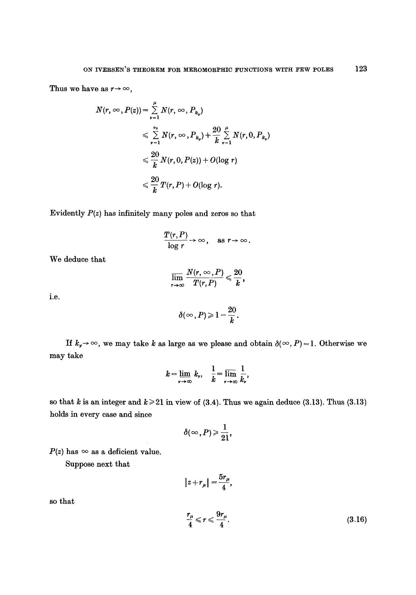Thus we have as  $r \rightarrow \infty$ ,

$$
N(r, \infty, P(z)) = \sum_{\nu=1}^{\mu} N(r, \infty, P_{k_{\nu}})
$$
  
\n
$$
\leq \sum_{\nu=1}^{r_0} N(r, \infty, P_{k_{\nu}}) + \frac{20}{k} \sum_{\nu=1}^{\mu} N(r, 0, P_{k_{\nu}})
$$
  
\n
$$
\leq \frac{20}{k} N(r, 0, P(z)) + O(\log r)
$$
  
\n
$$
\leq \frac{20}{k} T(r, P) + O(\log r).
$$

Evidently *P(z)* has infinitely many poles and zeros so that

$$
\frac{T(r,P)}{\log r}\to\infty\,,\quad\text{as }r\to\infty\,.
$$

We deduce that

$$
\overline{\lim_{r\to\infty}}\,\frac{N(r,\infty,P)}{T(r,P)}\leqslant\frac{20}{k},
$$

i.e.

$$
\delta(\infty,P)\geqslant 1-\frac{20}{k}.
$$

If  $k_v \rightarrow \infty$ , we may take k as large as we please and obtain  $\delta(\infty, P)=1$ . Otherwise we may take

$$
k=\lim_{\nu\to\infty}k_{\nu},\quad \frac{1}{k}=\overline{\lim_{\nu\to\infty}}\;\frac{1}{k_{\nu}},
$$

so that k is an integer and  $k \ge 21$  in view of (3.4). Thus we again deduce (3.13). Thus (3.13) holds in every case and since

$$
\delta(\infty,P)\!\geqslant\!\frac{1}{21},
$$

 $P(z)$  has  $\infty$  as a deficient value.

Suppose next that

$$
|z+r_{\mu}|=\frac{5r_{\mu}}{4},
$$

so that

$$
\frac{r_{\mu}}{4} \leqslant r \leqslant \frac{9r_{\mu}}{4}.\tag{3.16}
$$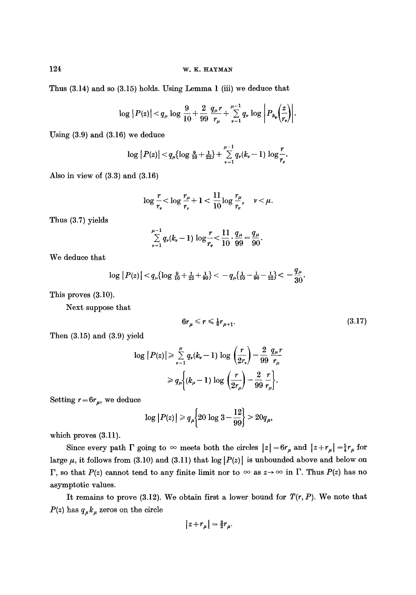Thus (3.14) and so (3.15) holds. Using Lemma 1 (iii) we deduce that

$$
\log |P(z)| < q_\mu \log \frac{9}{10} + \frac{2}{99} \frac{q_\mu r}{r_\mu} + \sum_{\nu=1}^{\mu-1} q_\nu \log \left| P_{k_\nu} \left( \frac{z}{r_\nu} \right) \right|.
$$

Using (3.9) and (3.16) we deduce

$$
\log |P(z)| < q_{\mu} {\log \frac{9}{10} + \frac{1}{22}} + \sum_{\nu=1}^{\mu-1} q_{\nu}(k_{\nu}-1) \log \frac{r}{r_{\nu}}.
$$

Also in view of (3.3) and (3.16)

$$
\log\frac{r}{r_r}<\log\frac{r_\mu}{r_r}+1<\frac{11}{10}\log\frac{r_\mu}{r_r},\quad r<\mu.
$$

Thus (3.7) yields

$$
\sum_{\nu=1}^{\mu-1} q_{\nu}(k_{\nu}-1) \log \frac{r}{r_{\nu}} < \frac{11}{10} \cdot \frac{q_{\mu}}{99} = \frac{q_{\mu}}{90}.
$$

We deduce that

$$
\log |P(z)| < q_{\mu} {\log \frac{9}{10} + \frac{1}{22} + \frac{1}{90}} < -q_{\mu} {\frac{1}{10} - \frac{1}{90} - \frac{1}{22}} < -\frac{q_{\mu}}{30}.
$$

This proves (3.10).

Next suppose that

$$
6r_{\mu} \leqslant r \leqslant \frac{1}{6}r_{\mu+1}.\tag{3.17}
$$

Then (3.15) and (3.9) yield

$$
\log |P(z)| \geq \sum_{\nu=1}^{\mu} q_{\nu}(k_{\nu}-1) \log \left(\frac{r}{2r_{\nu}}\right) - \frac{2}{99} \frac{q_{\mu}r}{r_{\mu}}
$$

$$
\geq q_{\mu} \bigg\{ (k_{\mu}-1) \log \left(\frac{r}{2r_{\mu}}\right) - \frac{2}{99} \frac{r}{r_{\mu}} \bigg\}.
$$

Setting  $r = 6r_{\mu}$ , we deduce

$$
\log |P(z)| \ge q_{\mu} \bigg\{ 20 \log 3 - \frac{12}{99} \bigg\} > 20 q_{\mu},
$$

which proves  $(3.11)$ .

Since every path  $\Gamma$  going to  $\infty$  meets both the circles  $|z| = 6r_{\mu}$  and  $|z + r_{\mu}| = \frac{5}{4}r_{\mu}$  for large  $\mu$ , it follows from (3.10) and (3.11) that log  $|P(z)|$  is unbounded above and below on  $\Gamma$ , so that  $P(z)$  cannot tend to any finite limit nor to  $\infty$  as  $z \to \infty$  in  $\Gamma$ . Thus  $P(z)$  has no asymptotic values.

It remains to prove  $(3.12)$ . We obtain first a lower bound for  $T(r, P)$ . We note that  $P(z)$  has  $q_{\mu}k_{\mu}$  zeros on the circle

$$
|z+r_\mu|=\tfrac32r_\mu.
$$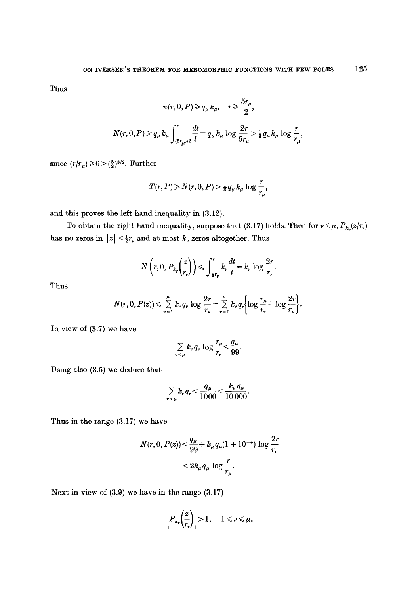Thus

$$
n(r, 0, P) \ge q_{\mu} k_{\mu}, \quad r \ge \frac{5r_{\mu}}{2},
$$
  

$$
N(r, 0, P) \ge q_{\mu} k_{\mu} \int_{(5r_{\mu})/2}^{r} \frac{dt}{t} = q_{\mu} k_{\mu} \log \frac{2r}{5r_{\mu}} > \frac{1}{3} q_{\mu} k_{\mu} \log \frac{r}{r_{\mu}},
$$

since  $(r/r_{\mu}) \ge 6 > (\frac{5}{2})^{3/2}$ . Further

$$
T(r, P) \geq N(r, 0, P) > \frac{1}{3} q_{\mu} k_{\mu} \log \frac{r}{r_{\mu}},
$$

and this proves the left hand inequality in (3.12).

To obtain the right hand inequality, suppose that (3.17) holds. Then for  $v \le \mu$ ,  $P_{k_v}(z/r_v)$ has no zeros in  $|z| \leq \frac{1}{2}r$ , and at most  $k$ , zeros altogether. Thus

$$
N\left(r,0,P_{k_r}\left(\frac{z}{r_v}\right)\right) \leqslant \int_{\frac{1}{4}r_v}^r k_v \frac{dt}{t} = k_v \log \frac{2r}{r_v}.
$$

Thus

$$
N(r,0,P(z))\leqslant \sum_{\nu=1}^{\mu}k_{\nu}q_{\nu}\log\frac{2r}{r_{\nu}}=\sum_{\nu=1}^{\mu}k_{\nu}q_{\nu}\bigg\{\log\frac{r_{\mu}}{r_{\nu}}+\log\frac{2r}{r_{\mu}}\bigg\}.
$$

In view of (3.7) we have

$$
\sum_{\nu<\mu}k_{\nu}q_{\nu}\log\frac{r_{\mu}}{r_{\nu}}<\frac{q_{\mu}}{99}.
$$

Using also (3.5) we deduce that

$$
\sum_{\nu \leq \mu} k_{\nu} q_{\nu} < \frac{q_{\mu}}{1000} < \frac{k_{\mu} q_{\mu}}{10000}.
$$

Thus in the range (3.17) we have

$$
N(r, 0, P(z)) < \frac{q_{\mu}}{99} + k_{\mu} q_{\mu} (1 + 10^{-4}) \log \frac{2r}{r_{\mu}} < 2k_{\mu} q_{\mu} \log \frac{r}{r_{\mu}}.
$$

Next in view of (3.9) we have in the range (3.17)

$$
\left|P_{k_{\mathfrak{p}}}\!\!\left(\frac{z}{r_{\mathfrak{p}}}\right)\right| > 1, \quad 1 \leqslant \mathfrak{p} \leqslant \mu.
$$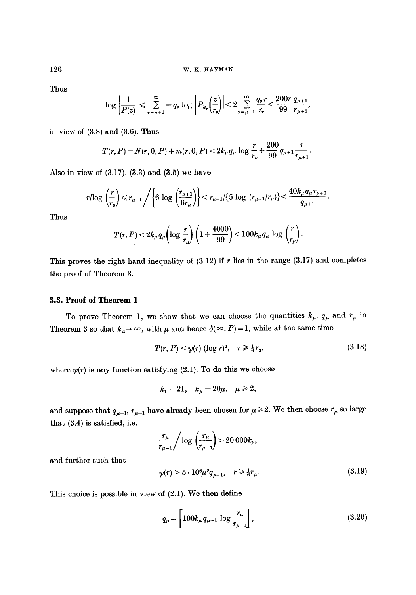Thus

$$
\log \left|\frac{1}{P(z)}\right| \leqslant \sum_{\nu=\mu+1}^{\infty} -q_{\nu} \log \left|P_{k_{\nu}}\!\!\left(\frac{z}{r_{\nu}}\right)\right| < 2 \sum_{\nu=\mu+1}^{\infty} \frac{q_{\nu}r}{r_{\nu}} < \frac{200r}{99} \frac{q_{\mu+1}}{r_{\mu+1}},
$$

in view of (3.8) and (3.6). Thus

$$
T(r, P) = N(r, 0, P) + m(r, 0, P) < 2k_{\mu}q_{\mu}\log\frac{r}{r_{\mu}} + \frac{200}{99}q_{\mu+1}\frac{r}{r_{\mu+1}}.
$$

Also in view of  $(3.17)$ ,  $(3.3)$  and  $(3.5)$  we have

$$
r/\log\left(\frac{r}{r_{\mu}}\right) \leq r_{\mu+1} / \left\{6 \log\left(\frac{r_{\mu+1}}{6r_{\mu}}\right)\right\} < r_{\mu+1}/\{5 \log\left(r_{\mu+1}/r_{\mu}\right)\} < \frac{40k_{\mu}q_{\mu}r_{\mu+1}}{q_{\mu+1}}.
$$

Thus

$$
T(r,P) < 2k_{\mu}q_{\mu}\left(\log\frac{r}{r_{\mu}}\right)\left(1+\frac{4000}{99}\right) < 100k_{\mu}q_{\mu}\,\log\,\left(\frac{r}{r_{\mu}}\right).
$$

This proves the right hand inequality of  $(3.12)$  if r lies in the range  $(3.17)$  and completes the proof of Theorem 3.

## **3.3. Proof of Theorem 1**

To prove Theorem 1, we show that we can choose the quantities  $k_{\mu}$ ,  $q_{\mu}$  and  $r_{\mu}$  in Theorem 3 so that  $k_{\mu} \rightarrow \infty$ , with  $\mu$  and hence  $\delta(\infty, P) = 1$ , while at the same time

$$
T(r, P) < \psi(r) \ (\log r)^2, \quad r \ge \frac{1}{6} r_3,
$$
\n(3.18)

where  $\psi(r)$  is any function satisfying (2.1). To do this we choose

$$
k_1 = 21
$$
,  $k_\mu = 20\mu$ ,  $\mu \ge 2$ ,

and suppose that  $q_{\mu-1}$ ,  $r_{\mu-1}$  have already been chosen for  $\mu \geq 2$ . We then choose  $r_{\mu}$  so large that (3.4) is satisfied, i.e.

$$
\frac{r_{\mu}}{r_{\mu-1}}\bigg/\log\left(\frac{r_{\mu}}{r_{\mu-1}}\right) > 20\ 000k_{\mu},
$$

and further such that

$$
\psi(r) > 5 \cdot 10^6 \mu^2 q_{\mu - 1}, \quad r \ge \frac{1}{6} r_{\mu}.
$$
\n(3.19)

This choice is possible in view of (2.1). We then define

$$
q_{\mu} = \left[100k_{\mu}q_{\mu-1}\log\frac{r_{\mu}}{r_{\mu-1}}\right],
$$
\n(3.20)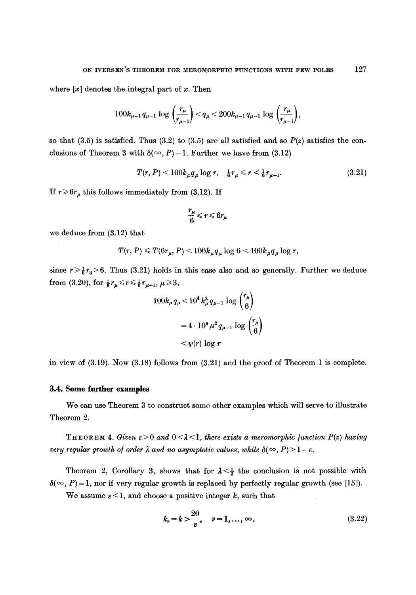where  $[x]$  denotes the integral part of x. Then

$$
100k_{\mu-1} q_{\mu-1} \log \left(\frac{r_\mu}{r_{\mu-1}}\right) < q_\mu < 200k_{\mu-1} q_{\mu-1} \log \left(\frac{r_\mu}{r_{\mu-1}}\right),
$$

so that  $(3.5)$  is satisfied. Thus  $(3.2)$  to  $(3.5)$  are all satisfied and so  $P(z)$  satisfies the conclusions of Theorem 3 with  $\delta(\infty, P) = 1$ . Further we have from (3.12)

$$
T(r, P) < 100k_{\mu}q_{\mu}\log r, \quad \frac{1}{6}r_{\mu} \leq r < \frac{1}{6}r_{\mu+1}.\tag{3.21}
$$

 $\overline{a}$  $\overline{\phantom{a}}$ 

If  $r \ge 6r_\mu$  this follows immediately from (3.12). If

$$
\frac{r_{\mu}}{6} \leqslant r \leqslant 6r_{\mu}
$$

we deduce from (3.12) that

$$
T(r, P) \leq T(6r_{\mu}, P) < 100k_{\mu}q_{\mu} \log 6 < 100k_{\mu}q_{\mu} \log r,
$$

since  $r \ge \frac{1}{6}r_3 > 6$ . Thus (3.21) holds in this case also and so generally. Further we deduce from (3.20), for  $\frac{1}{6}r_{\mu} \le r \le \frac{1}{6}r_{\mu+1}$ ,  $\mu \ge 3$ ,

$$
100k_{\mu}q_{\mu} < 10^{4} k_{\mu}^{2} q_{\mu-1} \log \left(\frac{r_{\mu}}{6}\right)
$$

$$
= 4 \cdot 10^{6} \mu^{2} q_{\mu-1} \log \left(\frac{r_{\mu}}{6}\right)
$$

$$
< \psi(r) \log r
$$

in view of (3.19). Now (3.18) follows from (3.21) and the proof of Theorem 1 is complete.

### **3.4. Some turther examples**

We can use Theorem 3 to construct some other examples which will serve to illustrate Theorem 2.

**THEOREM 4.** Given  $\varepsilon > 0$  and  $0 < \lambda < 1$ , there exists a meromorphic function  $P(z)$  having *very regular growth of order*  $\lambda$  *and no asymptotic values, while*  $\delta(\infty, P) > 1 - \varepsilon$ *.* 

Theorem 2, Corollary 3, shows that for  $\lambda < \frac{1}{2}$  the conclusion is not possible with  $\delta(\infty, P) = 1$ , nor if very regular growth is replaced by perfectly regular growth (see [15]).

We assume  $\varepsilon < 1$ , and choose a positive integer k, such that

$$
k_{\nu}=k>\frac{20}{\varepsilon}, \quad \nu=1,\ldots,\infty.
$$
 (3.22)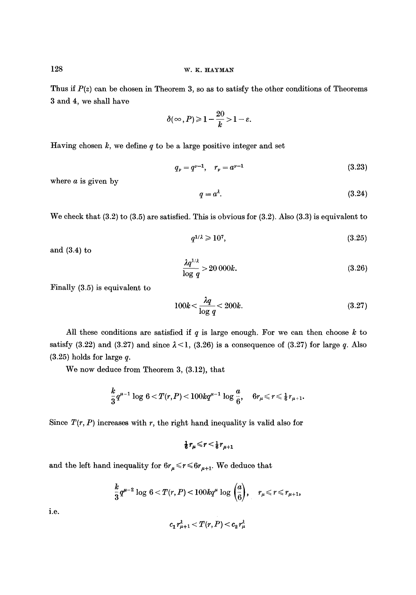Thus if  $P(z)$  can be chosen in Theorem 3, so as to satisfy the other conditions of Theorems 3 and 4, we shall have

$$
\delta(\infty,P)\geqslant 1-\frac{20}{k}>1-\varepsilon.
$$

Having chosen  $k$ , we define  $q$  to be a large positive integer and set

$$
q_{\nu} = q^{\nu - 1}, \quad r_{\nu} = a^{\nu - 1} \tag{3.23}
$$

where  $a$  is given by

$$
q = a^{\lambda}.\tag{3.24}
$$

We check that (3.2) to (3.5) are satisfied. This is obvious for (3.2). Also (3.3) is equivalent to

$$
q^{1/\lambda} \geqslant 10^7,\tag{3.25}
$$

and (3.4) to

$$
\frac{\lambda q^{1/\lambda}}{\log q} > 20\,000k.\tag{3.26}
$$

Finally (3.5) is equivalent to

$$
100k < \frac{\lambda q}{\log q} < 200k. \tag{3.27}
$$

All these conditions are satisfied if  $q$  is large enough. For we can then choose  $k$  to satisfy (3.22) and (3.27) and since  $\lambda$ <1, (3.26) is a consequence of (3.27) for large q. Also  $(3.25)$  holds for large q.

We now deduce from Theorem 3, (3.12), that

$$
\frac{k}{3}q^{\mu-1}\log\, 6\!<\! T(r,P)\!<\! 100kq^{\mu-1}\log\frac{a}{6},\quad 6r_\mu\!\leqslant\! r\!\leqslant\! \tfrac{1}{6}r_{\mu+1}.
$$

Since  $T(r, P)$  increases with r, the right hand inequality is valid also for

$$
\tfrac{1}{6}r_\mu \leqslant r < \tfrac{1}{6}r_{\mu+1}
$$

and the left hand inequality for  $6r_\mu \le r \le 6r_{\mu+1}$ . We deduce that

$$
\frac{k}{3}q^{\mu-2}\log 6 < T(r,P) < 100kq^{\mu}\log\left(\frac{a}{6}\right), \quad r_{\mu} \leq r \leq r_{\mu+1},
$$

i.e.

$$
c_1 r_{\mu+1}^\lambda < T(r, P) < c_2 r_\mu^\lambda
$$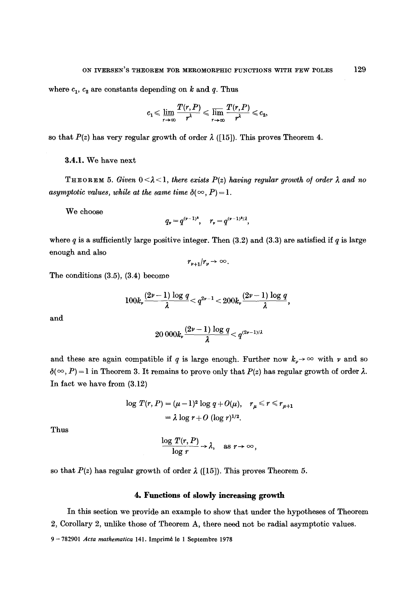where  $c_1$ ,  $c_2$  are constants depending on k and q. Thus

$$
c_1 \leqslant \varliminf_{r \to \infty} \frac{T(r, P)}{r^{\lambda}} \leqslant \varlimsup_{r \to \infty} \frac{T(r, P)}{r^{\lambda}} \leqslant c_2,
$$

so that  $P(z)$  has very regular growth of order  $\lambda$  ([15]). This proves Theorem 4.

3.4.1. We have next

THEOREM 5. *Given*  $0 < \lambda < 1$ , there exists  $P(z)$  having regular growth of order  $\lambda$  and no *asymptotic values, while at the same time*  $\delta(\infty, P) = 1$ .

We choose

$$
q_{\nu}=q^{(\nu-1)^2}, \quad r_{\nu}=q^{(\nu-1)^2/\lambda},
$$

where  $q$  is a sufficiently large positive integer. Then (3.2) and (3.3) are satisfied if  $q$  is large enough and also

$$
r_{\nu+1}/r_{\nu}\rightarrow\infty.
$$

The conditions (3.5), (3.4) become

$$
100k_r\frac{(2\nu-1)\log q}{\lambda}
$$

and

$$
20\ 000k_{\nu}\frac{(2\nu-1)\log q}{\lambda}
$$

and these are again compatible if q is large enough. Further now  $k_{\nu} \rightarrow \infty$  with  $\nu$  and so  $\delta(\infty, P) = 1$  in Theorem 3. It remains to prove only that  $P(z)$  has regular growth of order  $\lambda$ . In fact we have from (3.12)

$$
\log T(r, P) = (\mu - 1)^2 \log q + O(\mu), \quad r_{\mu} \le r \le r_{\mu+1}
$$

$$
= \lambda \log r + O(\log r)^{1/2}.
$$

Thus

$$
\frac{\log T(r, P)}{\log r} \to \lambda, \quad \text{as } r \to \infty,
$$

so that  $P(z)$  has regular growth of order  $\lambda$  ([15]). This proves Theorem 5.

#### **4. Functions of slowly increasing** growth

In this section we provide an example to show that under the hypotheses of Theorem 2, Corollary 2, unlike those of Theorem A, there need not be radial asymptotic values.

<sup>9 - 782901</sup> *Acta mathematica* 141. Imprim6 le 1 Septembre 1978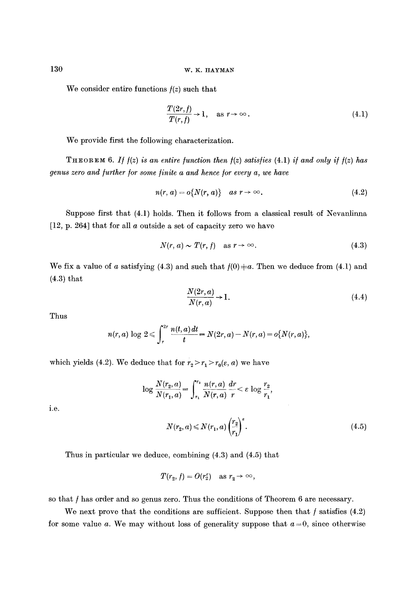We consider entire functions  $f(z)$  such that

$$
\frac{T(2r,f)}{T(r,f)} \to 1, \quad \text{as } r \to \infty.
$$
\n(4.1)

We provide first the following characterization.

THEOREM 6. If  $f(z)$  is an entire function then  $f(z)$  satisfies  $(4.1)$  if and only if  $f(z)$  has *genus zero and further for some finite a and hence for every a, we have* 

$$
n(r, a) = o\{N(r, a)\} \quad as \; r \to \infty. \tag{4.2}
$$

Suppose first that (4.1) holds. Then it follows from a classical result of Nevanlinna [12, p. 264] that for all a outside a set of capacity zero we have

$$
N(r, a) \sim T(r, f) \quad \text{as } r \to \infty. \tag{4.3}
$$

We fix a value of a satisfying (4.3) and such that  $f(0) \neq a$ . Then we deduce from (4.1) and (4.3) that

$$
\frac{N(2r,a)}{N(r,a)} \to 1.
$$
\n(4.4)

Thus

$$
n(r,a) \log 2 \leqslant \int_{r}^{2r} \frac{n(t,a) dt}{t} = N(2r,a) - N(r,a) = o\{N(r,a)\},\,
$$

which yields (4.2). We deduce that for  $r_2 > r_1 > r_0(\varepsilon, a)$  we have

$$
\log \frac{N(r_2, a)}{N(r_1, a)} = \int_{r_1}^{r_2} \frac{n(r, a)}{N(r, a)} \, \frac{dr}{r} < \varepsilon \, \log \frac{r_2}{r_1},
$$

i.e.

$$
N(r_2, a) \le N(r_1, a) \left(\frac{r_2}{r_1}\right)^{\epsilon}.
$$
\n
$$
(4.5)
$$

Thus in particular we deduce, combining (4.3) and (4.5) that

$$
T(r_2, f) = O(r_2^{\varepsilon}) \quad \text{as } r_2 \to \infty,
$$

so that f has order and so genus zero. Thus the conditions of Theorem 6 are necessary.

We next prove that the conditions are sufficient. Suppose then that  $f$  satisfies  $(4.2)$ for some value a. We may without loss of generality suppose that  $a=0$ , since otherwise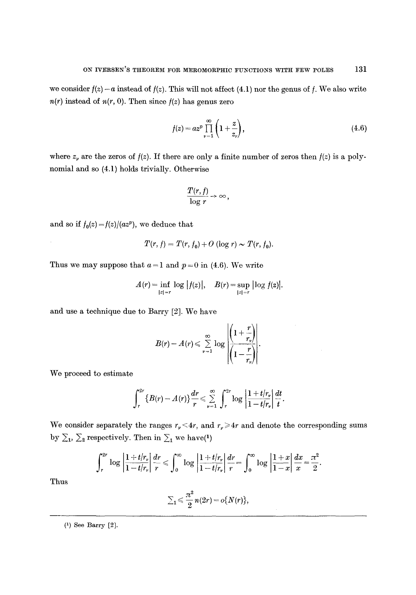we consider  $f(z) - a$  instead of  $f(z)$ . This will not affect (4.1) nor the genus of f. We also write  $n(r)$  instead of  $n(r, 0)$ . Then since  $f(z)$  has genus zero

$$
f(z) = az^p \prod_{\nu=1}^{\infty} \left( 1 + \frac{z}{z_{\nu}} \right), \tag{4.6}
$$

where  $z<sub>\nu</sub>$  are the zeros of  $f(z)$ . If there are only a finite number of zeros then  $f(z)$  is a polynomial and so (4.1) holds trivially. Otherwise

$$
\frac{T(r, f)}{\log r} \rightarrow \infty,
$$

and so if  $f_0(z) = f(z)/(az^p)$ , we deduce that

$$
T(r, f) = T(r, f_0) + O(\log r) \sim T(r, f_0).
$$

Thus we may suppose that  $a=1$  and  $p=0$  in (4.6). We write

$$
A(r) = \inf_{|z|=r} \log |f(z)|, \quad B(r) = \sup_{|z|=r} |\log f(z)|.
$$

and use a technique due to Barry [2]. We have

$$
B(r) - A(r) \leqslant \sum_{\nu=1}^{\infty} \log \left| \frac{\left(1 + \frac{r}{r_{\nu}}\right)}{\left(1 - \frac{r}{r_{\nu}}\right)}\right|.
$$

We proceed to estimate

$$
\int_r^{2r} \{B(r)-A(r)\}\frac{dr}{r}\leqslant \sum_{\nu=1}^\infty\int_r^{2r} \log\left|\frac{1+t/r_\nu}{1-t/r_\nu}\right|\frac{dt}{t}.
$$

We consider separately the ranges  $r_r < 4r$ , and  $r_r \ge 4r$  and denote the corresponding sums by  $\Sigma_1$ ,  $\Sigma_2$  respectively. Then in  $\Sigma_1$  we have(1)

$$
\int_r^{2r} \log \left| \frac{1+t/r_r}{1-t/r_r} \right| \frac{dr}{r} \leqslant \int_0^{\infty} \log \left| \frac{1+t/r_r}{1-t/r_r} \right| \frac{dr}{r} = \int_0^{\infty} \log \left| \frac{1+x}{1-x} \right| \frac{dx}{x} = \frac{\pi^2}{2}.
$$

Thus

$$
\Sigma_1\leqslant \frac{\pi^2}{2}n(2r)=o\{N(r)\},
$$

(1) See Barry [2].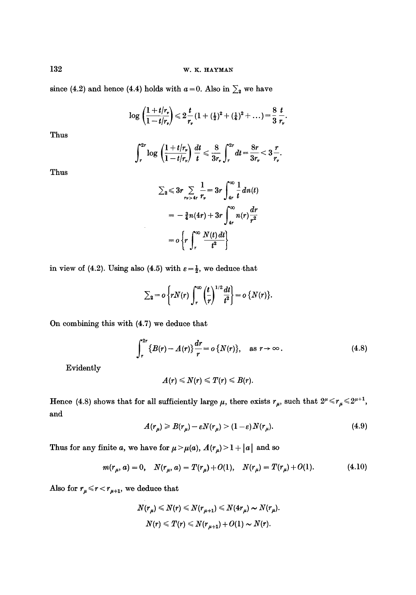since (4.2) and hence (4.4) holds with  $a=0$ . Also in  $\sum_{2}$  we have

$$
\log\left(\frac{1+t/r_r}{1-t/r_r}\right)\leq 2\frac{t}{r_r}(1+(\tfrac{1}{2})^2+(\tfrac{1}{4})^2+\ldots)=\frac{8}{3}\frac{t}{r_r}.
$$

Thus

$$
\int_r^{2r} \log \left( \frac{1+t/r_r}{1-t/r_r} \right) \frac{dt}{t} \leq \frac{8}{3r_r} \int_r^{2r} dt = \frac{8r}{3r_r} < 3 \frac{r}{r_r}.
$$

Thus

$$
\sum_{2} \leq 3r \sum_{\{r\} > 4r} \frac{1}{r_r} = 3r \int_{4r}^{\infty} \frac{1}{t} dn(t)
$$

$$
= -\frac{3}{4}n(4r) + 3r \int_{4r}^{\infty} n(r) \frac{dr}{r^2}
$$

$$
= o\left\{r \int_{r}^{\infty} \frac{N(t) dt}{t^2}\right\}
$$

in view of (4.2). Using also (4.5) with  $\varepsilon = \frac{1}{2}$ , we deduce that

$$
\sum_{2} = o\left\{rN(r)\int_{r}^{\infty}\left(\frac{t}{r}\right)^{1/2}\frac{dt}{t^{2}}\right\} = o\left\{N(r)\right\}.
$$

On combining this with (4.7) we deduce that

$$
\int_{r}^{2r} \{B(r) - A(r)\} \frac{dr}{r} = o\{N(r)\}, \quad \text{as } r \to \infty.
$$
 (4.8)

Evidently

$$
A(r)\leqslant N(r)\leqslant T(r)\leqslant B(r).
$$

Hence (4.8) shows that for all sufficiently large  $\mu$ , there exists  $r_{\mu}$ , such that  $2^{\mu} \le r_{\mu} \le 2^{\mu+1}$ , and

$$
A(r_{\mu}) \geq B(r_{\mu}) - \varepsilon N(r_{\mu}) > (1 - \varepsilon) \, N(r_{\mu}).\tag{4.9}
$$

Thus for any finite a, we have for  $\mu > \mu(a)$ ,  $A(r_{\mu}) > 1 + |a|$  and so

$$
m(r_{\mu}, a) = 0, \quad N(r_{\mu}, a) = T(r_{\mu}) + O(1), \quad N(r_{\mu}) = T(r_{\mu}) + O(1). \tag{4.10}
$$

Also for  $r_{\mu} \le r < r_{\mu+1}$ , we deduce that

$$
N(r_{\mu}) \leq N(r) \leq N(r_{\mu+1}) \leq N(4r_{\mu}) \sim N(r_{\mu}).
$$
  

$$
N(r) \leq T(r) \leq N(r_{\mu+1}) + O(1) \sim N(r).
$$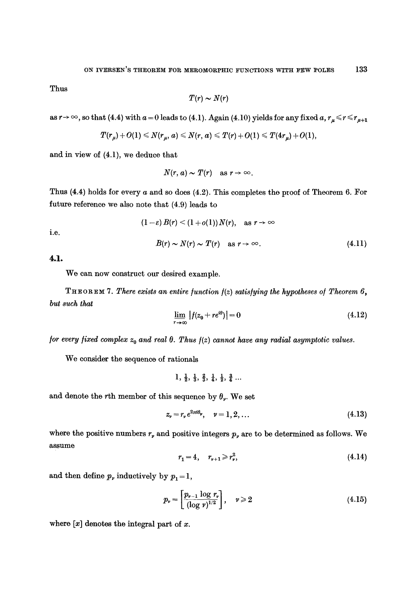Thus

$$
T(r) \sim N(r)
$$

as  $r \to \infty$ , so that (4.4) with  $a = 0$  leads to (4.1). Again (4.10) yields for any fixed  $a, r_{\mu} \le r \le r_{\mu+1}$ 

$$
T(r_{\mu})+O(1)\leqslant N(r_{\mu},\,a)\leqslant N(r,\,a)\leqslant T(r)+O(1)\leqslant T(4r_{\mu})+O(1),
$$

and in view of (4.1), we deduce that

$$
N(r, a) \sim T(r) \quad \text{as } r \to \infty.
$$

Thus  $(4.4)$  holds for every a and so does  $(4.2)$ . This completes the proof of Theorem 6. For future reference we also note that (4.9) leads to

$$
(1 - \varepsilon) B(r) < (1 + o(1)) N(r), \quad \text{as } r \to \infty
$$
\n
$$
B(r) \sim N(r) \sim T(r) \quad \text{as } r \to \infty. \tag{4.11}
$$

4.1.

i.e.

We can now construct our desired example.

THEOREM 7. *There exists an entire/unction/(z) satis/ying the hypotheses el Theorem 6, but such that* 

$$
\lim_{r \to \infty} |f(z_0 + re^{i\theta})| = 0 \tag{4.12}
$$

*for every fixed complex*  $z_0$  *and real*  $\theta$ *. Thus*  $f(z)$  *cannot have any radial asymptotic values.* 

We consider the sequence of rationals

$$
1, \frac{1}{2}, \frac{1}{3}, \frac{2}{3}, \frac{1}{4}, \frac{1}{2}, \frac{3}{4} \ldots
$$

and denote the rth member of this sequence by  $\theta_{\nu}$ . We set

$$
z_{\nu}=r_{\nu}e^{2\pi i\theta_{\nu}}, \quad \nu=1,2,\ldots \qquad (4.13)
$$

where the positive numbers  $r<sub>v</sub>$  and positive integers  $p<sub>v</sub>$  are to be determined as follows. We assume

$$
r_1 = 4, \quad r_{\nu+1} \ge r_{\nu}^2, \tag{4.14}
$$

and then define  $p_{\nu}$  inductively by  $p_1 = 1$ ,

$$
p_{\nu} = \left[\frac{p_{\nu-1} \log r_{\nu}}{(\log \nu)^{1/2}}\right], \quad \nu \geq 2 \tag{4.15}
$$

where  $[x]$  denotes the integral part of x.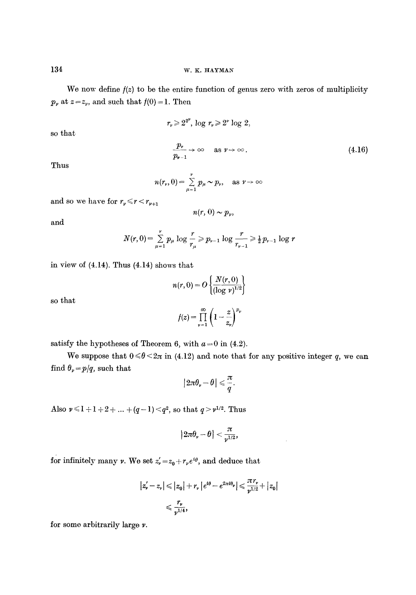We now define  $f(z)$  to be the entire function of genus zero with zeros of multiplicity  $p<sub>p</sub>$  at  $z=z<sub>p</sub>$ , and such that  $f(0) = 1$ . Then

$$
r_v\!\geqslant\!2^{2^v}\!,\,\log\,r_v\!\geqslant\!2^v\log\,2,
$$

so that

$$
\frac{p_{\nu}}{p_{\nu-1}} \to \infty \quad \text{as } \nu \to \infty. \tag{4.16}
$$

Thus

$$
n(r_v, 0) = \sum_{\mu=1}^v p_\mu \sim p_v, \quad \text{as } v \to \infty
$$

and so we have for  $r_y \le r < r_{\nu+1}$ 

$$
n(r, 0) \sim p_{\nu},
$$

and

$$
N(r,0) = \sum_{\mu=1}^r p_{\mu} \log \frac{r}{r_{\mu}} \ge p_{\nu-1} \log \frac{r}{r_{\nu-1}} \ge \frac{1}{2} p_{\nu-1} \log r
$$

in view of 
$$
(4.14)
$$
. Thus  $(4.14)$  shows that

$$
n(r,0) = O\left\{\frac{N(r,0)}{(\log v)^{1/2}}\right\}
$$

so that

$$
f(z) = \prod_{\nu=1}^{\infty} \left(1 - \frac{z}{z_{\nu}}\right)^{p_{\nu}}
$$

satisfy the hypotheses of Theorem 6, with  $a = 0$  in (4.2).

We suppose that  $0 \le \theta \le 2\pi$  in (4.12) and note that for any positive integer q, we can find  $\theta_{\nu} = p/q$ , such that

$$
\big|2\pi\theta_\nu-\theta\big|\leqslant\frac{\pi}{q}.
$$

Also  $\nu \leq 1 + 1 + 2 + \ldots + (q-1) \leq q^2$ , so that  $q > \nu^{1/2}$ . Thus

$$
\big| 2\pi \theta_\nu - \theta \big| < \frac{\pi}{\nu^{1/2}},
$$

for infinitely many  $\nu.$  We set  $z'_\nu \!=\! z_0 + r_\nu e^{i \theta},$  and deduce that

$$
|z'_{\nu} - z_{\nu}| \leq |z_0| + r_{\nu} |e^{i\theta} - e^{2\pi i\theta_{\nu}}| \leq \frac{\pi r_{\nu}}{v^{1/2}} + |z_0|
$$
  

$$
\leq \frac{r_{\nu}}{v^{1/4}},
$$

for some arbitrarily largo v.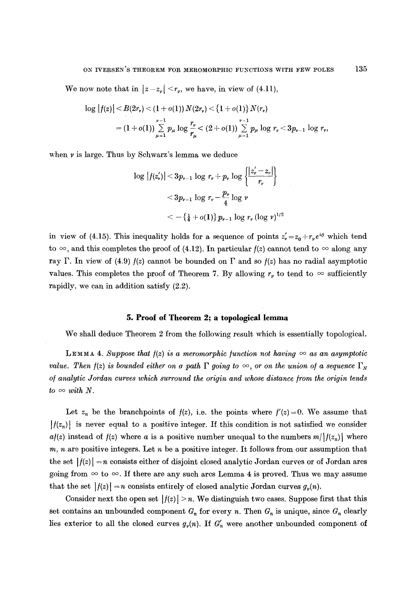We now note that in  $|z-z_{\nu}| \leq r_{\nu}$ , we have, in view of (4.11),

$$
\log |f(z)| < B(2r_v) < (1+o(1)) N(2r_v) < \{1+o(1)\} N(r_v)
$$
  
=  $(1+o(1)) \sum_{\mu=1}^{v-1} p_\mu \log \frac{r_\nu}{r_\mu} < (2+o(1)) \sum_{\mu=1}^{v-1} p_\mu \log r_\nu < 3p_{v-1} \log r_v,$ 

when  $\nu$  is large. Thus by Schwarz's lemma we deduce

$$
\begin{aligned} \log |f(z'_r)| &< 3p_{r-1}\log\,r_r + p_r\log\,\left\{\!\frac{|z'_r-z_r|}{r_r}\!\right\} \\ &< 3p_{r-1}\log\,r_r - \frac{p_r}{4}\log\,v \\ &< -\{\frac{1}{4}+o(1)\}\,p_{r-1}\,\log\,r_r\,(\log\,v)^{1/2} \end{aligned}
$$

in view of (4.15). This inequality holds for a sequence of points  $z'_{\nu} = z_0 + r_{\nu}e^{i\theta}$  which tend to  $\infty$ , and this completes the proof of (4.12). In particular  $f(z)$  cannot tend to  $\infty$  along any ray  $\Gamma$ . In view of (4.9)  $f(z)$  cannot be bounded on  $\Gamma$  and so  $f(z)$  has no radial asymptotic values. This completes the proof of Theorem 7. By allowing  $r_r$  to tend to  $\infty$  sufficiently rapidly, we can in addition satisfy (2.2).

#### **5. Proof of Theorem 2; a topologleal lemma**

We shall deduce Theorem 2 from the following result which is essentially topological.

LEMMA 4. Suppose that  $f(z)$  is a meromorphic function not having  $\infty$  as an asymptotic *value. Then*  $f(z)$  *is bounded either on a path*  $\Gamma$  *going to*  $\infty$ , *or on the union of a sequence*  $\Gamma_N$ *of analytic Jordan curves which surround the origin and whose distance from the origin tends*  $to \infty$  *with* N.

Let  $z_n$  be the branchpoints of  $f(z)$ , i.e. the points where  $f'(z)=0$ . We assume that  $|f(z_n)|$  is never equal to a positive integer. If this condition is not satisfied we consider  $a f(z)$  instead of  $f(z)$  where a is a positive number unequal to the numbers  $m/[f(z_n)]$  where  $m, n$  are positive integers. Let  $n$  be a positive integer. It follows from our assumption that the set  $|f(z)| = n$  consists either of disjoint closed analytic Jordan curves or of Jordan arcs going from  $\infty$  to  $\infty$ . If there are any such arcs Lemma 4 is proved. Thus we may assume that the set  $|f(z)| = n$  consists entirely of closed analytic Jordan curves  $g_{\nu}(n)$ .

Consider next the open set  $|f(z)| \geq n$ . We distinguish two cases. Suppose first that this set contains an unbounded component  $G_n$  for every n. Then  $G_n$  is unique, since  $G_n$  clearly lies exterior to all the closed curves  $g_{\nu}(n)$ . If  $G'_{n}$  were another unbounded component of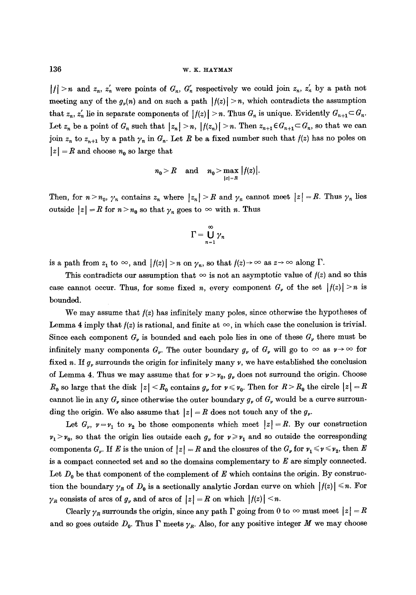## 136 w.K. HAYMAN

 $|f| > n$  and  $z_n$ ,  $z'_n$  were points of  $G_n$ ,  $G'_n$  respectively we could join  $z_n$ ,  $z'_n$  by a path not meeting any of the  $g_{\nu}(n)$  and on such a path  $|f(z)| \geq n$ , which contradicts the assumption that  $z_n$ ,  $z'_n$  lie in separate components of  $|f(z)| > n$ . Thus  $G_n$  is unique. Evidently  $G_{n+1} \subset G_n$ . Let  $z_n$  be a point of  $G_n$  such that  $|z_n| > n$ ,  $|f(z_n)| > n$ . Then  $z_{n+1} \in G_{n+1} \subset G_n$ , so that we can join  $z_n$  to  $z_{n+1}$  by a path  $\gamma_n$  in  $G_n$ . Let R be a fixed number such that  $f(z)$  has no poles on  $|z| = R$  and choose  $n_0$  so large that

$$
n_0 > R \quad \text{and} \quad n_0 > \max_{|z|=R} |f(z)|.
$$

Then, for  $n > n_0$ ,  $\gamma_n$  contains  $z_n$  where  $|z_n| > R$  and  $\gamma_n$  cannot meet  $|z| = R$ . Thus  $\gamma_n$  lies outside  $|z| = R$  for  $n > n_0$  so that  $\gamma_n$  goes to  $\infty$  with n. Thus

$$
\Gamma = \bigcup_{n=1}^{\infty} \gamma_n
$$

is a path from  $z_1$  to  $\infty$ , and  $|f(z)| > n$  on  $\gamma_n$ , so that  $f(z) \to \infty$  as  $z \to \infty$  along  $\Gamma$ .

This contradicts our assumption that  $\infty$  is not an asymptotic value of  $f(z)$  and so this case cannot occur. Thus, for some fixed n, every component  $G_r$  of the set  $|f(z)| \geq n$  is bounded.

We may assume that  $f(z)$  has infinitely many poles, since otherwise the hypotheses of Lemma 4 imply that  $f(z)$  is rational, and finite at  $\infty$ , in which case the conclusion is trivial. Since each component  $G_{\nu}$  is bounded and each pole lies in one of these  $G_{\nu}$  there must be infinitely many components  $G_{\nu}$ . The outer boundary  $g_{\nu}$  of  $G_{\nu}$  will go to  $\infty$  as  $\nu \rightarrow \infty$  for fixed n. If  $g_{\nu}$  surrounds the origin for infinitely many  $\nu$ , we have established the conclusion of Lemma 4. Thus we may assume that for  $\nu > \nu_0$ ,  $g_{\nu}$  does not surround the origin. Choose  $R_0$  so large that the disk  $|z| < R_0$  contains  $g_{\nu}$  for  $\nu \leq \nu_0$ . Then for  $R > R_0$  the circle  $|z| = R$ cannot lie in any  $G<sub>r</sub>$  since otherwise the outer boundary  $g<sub>r</sub>$  of  $G<sub>r</sub>$  would be a curve surrounding the origin. We also assume that  $|z| = R$  does not touch any of the  $g_{\nu}$ .

Let  $G_{\nu}$ ,  $\nu = \nu_1$  to  $\nu_2$  be those components which meet  $|z| = R$ . By our construction  $v_1 > v_0$ , so that the origin lies outside each  $g_{\nu}$  for  $\nu \geq v_1$  and so outside the corresponding components  $G_{\nu}$ . If E is the union of  $|z| = R$  and the closures of the  $G_{\nu}$  for  $\nu_1 \le \nu \le \nu_2$ , then E is a compact connected set and so the domains complementary to  $E$  are simply connected. Let  $D_0$  be that component of the complement of E which contains the origin. By construction the boundary  $\gamma_R$  of  $D_0$  is a sectionally analytic Jordan curve on which  $|f(z)| \leq n$ . For  $\gamma_R$  consists of arcs of  $g_{\nu}$  and of arcs of  $|z| = R$  on which  $|f(z)| \leq n$ .

Clearly  $\gamma_R$  surrounds the origin, since any path  $\Gamma$  going from 0 to  $\infty$  must meet  $|z|=R$ and so goes outside  $D_0$ . Thus  $\Gamma$  meets  $\gamma_R$ . Also, for any positive integer M we may choose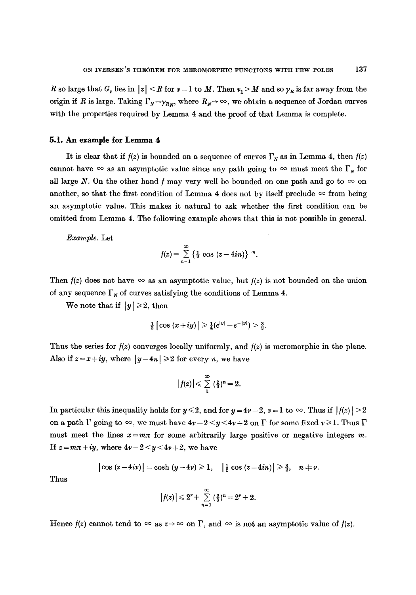R so large that  $G_{\nu}$  lies in  $|z| < R$  for  $\nu = 1$  to M. Then  $\nu_{1} > M$  and so  $\gamma_{R}$  is far away from the origin if R is large. Taking  $\Gamma_N = \gamma_{R_N}$ , where  $R_N \to \infty$ , we obtain a sequence of Jordan curves with the properties required by Lemma 4 and the proof of that Lemma is complete.

## **5.1. An example for Lemma 4**

It is clear that if  $f(z)$  is bounded on a sequence of curves  $\Gamma_N$  as in Lemma 4, then  $f(z)$ cannot have  $\infty$  as an asymptotic value since any path going to  $\infty$  must meet the  $\Gamma_N$  for all large N. On the other hand f may very well be bounded on one path and go to  $\infty$  on another, so that the first condition of Lemma 4 does not by itself preclude  $\infty$  from being an asymptotic value. This makes it natural to ask whether the first condition can be omitted from Lemma 4. The following example shows that this is not possible in general.

*Example.* Let

$$
f(z) = \sum_{n=1}^{\infty} \left\{ \frac{1}{2} \cos (z - 4in) \right\}^{-n}.
$$

Then  $f(z)$  does not have  $\infty$  as an asymptotic value, but  $f(z)$  is not bounded on the union of any sequence  $\Gamma_N$  of curves satisfying the conditions of Lemma 4.

We note that if  $|y| \geq 2$ , then

$$
\frac{1}{2} |\cos (x+iy)| \geq \frac{1}{4} (e^{|y|} - e^{-|y|}) > \frac{3}{2}.
$$

Thus the series for  $f(z)$  converges locally uniformly, and  $f(z)$  is meromorphic in the plane. Also if  $z = x + iy$ , where  $|y-4n| \ge 2$  for every n, we have

$$
|f(z)| \leqslant \sum_{1}^{\infty} \left(\frac{2}{3}\right)^n = 2.
$$

In particular this inequality holds for  $y \le 2$ , and for  $y = 4y - 2$ ,  $y = 1$  to  $\infty$ . Thus if  $|f(z)| > 2$ on a path  $\Gamma$  going to  $\infty$ , we must have  $4\nu - 2 < y < 4\nu + 2$  on  $\Gamma$  for some fixed  $\nu \geq 1$ . Thus  $\Gamma$ must meet the lines  $x=mx$  for some arbitrarily large positive or negative integers m. If  $z = m\pi + iy$ , where  $4\nu - 2 < y < 4\nu + 2$ , we have

$$
\vert \cos (z-4i\nu) \vert = \cosh (y-4\nu) \ge 1, \quad \vert \frac{1}{2} \cos (z-4i\nu) \vert \ge \frac{3}{2}, \quad n \ne \nu.
$$

Thus

$$
|f(z)| \leq 2^{\nu} + \sum_{n=1}^{\infty} \left(\frac{2}{3}\right)^n = 2^{\nu} + 2.
$$

Hence  $f(z)$  cannot tend to  $\infty$  as  $z \to \infty$  on  $\Gamma$ , and  $\infty$  is not an asymptotic value of  $f(z)$ .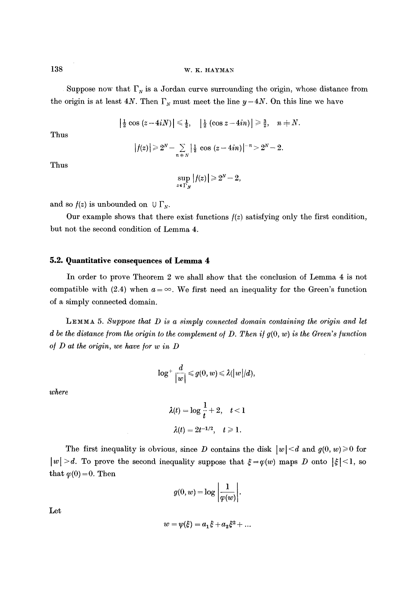138 w.K. HAYMAN

Suppose now that  $\Gamma_N$  is a Jordan curve surrounding the origin, whose distance from the origin is at least 4N. Then  $\Gamma_N$  must meet the line  $y=4N$ . On this line we have

 $\left|\frac{1}{2}\cos\left(z-4iN\right)\right|\leqslant \frac{1}{2}, \quad \left|\frac{1}{2}\left(\cos z-4in\right)\right|\geqslant \frac{3}{2}, \quad n\neq N.$ 

Thus

$$
|f(z)| \geq 2^N - \sum_{n \in N} \left| \frac{1}{2} \cos (z - 4in) \right|^{-n} > 2^N - 2.
$$

Thus

$$
\sup_{z\in\Gamma_N}|f(z)|\geqslant 2^N-2,
$$

and so  $f(z)$  is unbounded on  $\cup \Gamma_N$ .

Our example shows that there exist functions  $f(z)$  satisfying only the first condition, but not the second condition of Lemma 4.

## **5.2. Quantitative consequences oI Lemma 4**

In order to prove Theorem 2 we shall show that the conclusion of Lemma 4 is not compatible with (2.4) when  $a = \infty$ . We first need an inequality for the Green's function of a simply connected domain.

*LEMMA 5. Suppose that D is a simply connected domain containing the origin and let d be the distance from the origin to the complement of D. Then if*  $g(0, w)$  *is the Green's function of D at the origin, we have for w in D* 

$$
\log^+\frac{d}{|w|}\leqslant g(0,w)\leqslant \lambda (|w|/d),
$$

*where* 

$$
\lambda(t) = \log \frac{1}{t} + 2, \quad t < 1
$$

$$
\lambda(t) = 2t^{-1/2}, \quad t \ge 1.
$$

The first inequality is obvious, since D contains the disk  $|w| < d$  and  $g(0, w) \ge 0$  for  $|w| > d$ . To prove the second inequality suppose that  $\xi = \varphi(w)$  maps D onto  $|\xi| < 1$ , so that  $\varphi(0)=0$ . Then

$$
g(0, w) = \log \left| \frac{1}{\varphi(w)} \right|.
$$

Let

$$
w = \psi(\xi) = a_1 \xi + a_2 \xi^2 + \dots
$$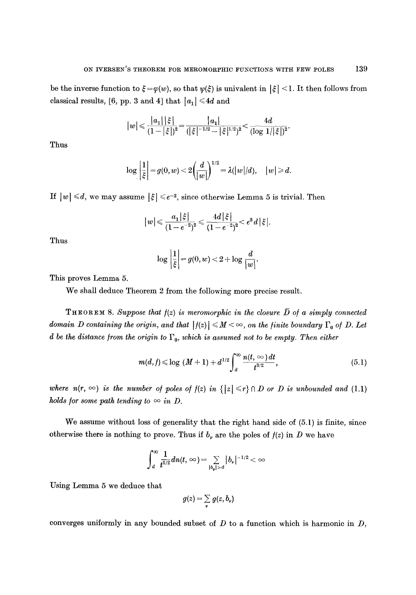be the inverse function to  $\xi = \varphi(w)$ , so that  $\psi(\xi)$  is univalent in  $|\xi| < 1$ . It then follows from classical results, [6, pp. 3 and 4] that  $|a_1| \le 4d$  and

$$
\big|w\big|\!\leqslant\!\frac{|a_1|\,|\,\xi\,|}{(1-|\,\xi\,|^)^2}\!=\!\frac{|a_1|}{(|\,\xi\,|^{-1/2}-|\,\xi\,|^{1/2})^2}\!<\!\frac{4d}{(\log\,1/|\,\xi\,|)^2}.
$$

Thus

$$
\log \left|\frac{1}{\xi}\right| = g(0,w) < 2 \bigg(\frac{d}{|w|}\bigg)^{1/2} = \lambda (|w|/d), \quad |w| \geqslant d.
$$

If  $|w| \le d$ , we may assume  $|\xi| \le e^{-2}$ , since otherwise Lemma 5 is trivial. Then

$$
\big|\, w\big|\!\leqslant\!\frac{a_1\big|\!|\xi|\!}{(1\!-\!e^{-2})^2}\!\leqslant\!\frac{4d\big|\!|\xi|\!}{(1\!-\!e^{-2})^2}\!<\!e^2\,d\big|\!|\xi|\!.
$$

Thus

$$
\log \left| \frac{1}{\xi} \right| = g(0, w) < 2 + \log \frac{d}{|w|}.
$$

This proves Lemma 5.

We shall deduce Theorem 2 from the following more precise result.

**THEOREM** 8. Suppose that  $f(z)$  is meromorphic in the closure  $\overline{D}$  of a simply connected *domain D containing the origin, and that*  $|f(z)| \leq M < \infty$ , on the finite boundary  $\Gamma_0$  of D. Let *d* be the distance from the origin to  $\Gamma_0$ , which is assumed not to be empty. Then either

$$
m(d, f) \leq \log (M + 1) + d^{1/2} \int_{d}^{\infty} \frac{n(t, \infty) dt}{t^{3/2}},
$$
 (5.1)

*where*  $n(r, \infty)$  *is the number of poles of*  $f(z)$  *in*  $\{|z| \le r\} \cap D$  *or D is unbounded and* (1.1) *holds for some path tending to*  $\infty$  *in D.* 

We assume without loss of generality that the right hand side of (5.1) is finite, since otherwise there is nothing to prove. Thus if  $b_{\nu}$  are the poles of  $f(z)$  in D we have

$$
\int_{a}^{\infty} \frac{1}{t^{1/2}} dn(t, \infty) = \sum_{|b_{\mathbf{y}}| > a} |b_{\mathbf{y}}|^{-1/2} < \infty
$$

Using Lemma 5 we deduce that

$$
g(z) = \sum_{\nu} g(z, b_{\nu})
$$

converges uniformly in any bounded subset of D to a function which is harmonic in *D,*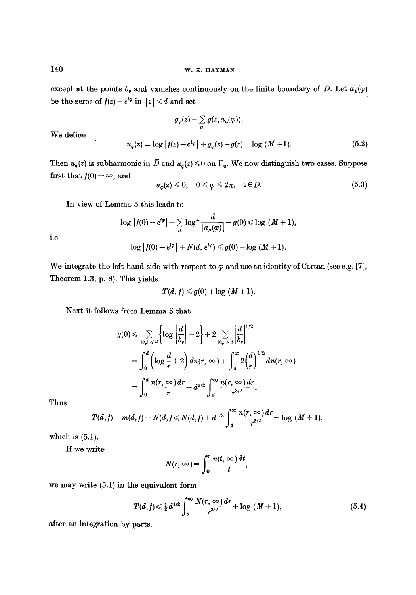except at the points  $b_{\nu}$  and vanishes continuously on the finite boundary of D. Let  $a_{\mu}(\varphi)$ be the zeros of  $f(z)-e^{i\varphi}$  in  $|z| \le d$  and set

$$
g_{\varphi}(z) = \sum_{\mu} g(z, a_{\mu}(\varphi)).
$$
  

$$
u_{\varphi}(z) = \log |f(z) - e^{i\varphi}| + g_{\varphi}(z) - g(z) - \log (M + 1).
$$
 (5.2)

We define

Then  $u_{\varphi}(z)$  is subharmonic in  $\bar{D}$  and  $u_{\varphi}(z) \leq 0$  on  $\Gamma_0$ . We now distinguish two cases. Suppose first that  $f(0) \neq \infty$ , and

$$
u_x(z) \leq 0, \quad 0 \leq \varphi \leq 2\pi, \quad z \in D. \tag{5.3}
$$

In view of Lemma 5 this leads to

$$
\log |f(0) - e^{i\varphi}| + \sum_{\mu} \log^+ \frac{d}{|a_{\mu}(\varphi)|} - g(0) \leq \log (M + 1),
$$
  

$$
\log |f(0) - e^{i\varphi}| + N(d, e^{i\varphi}) \leq g(0) + \log (M + 1).
$$

i.e.

We integrate the left hand side with respect to  $\varphi$  and use an identity of Cartan (see e.g. [7], Theorem 1.3, p. 8). This yields

$$
T(d, f) \leq g(0) + \log (M + 1).
$$

Next it follows from Lemma 5 that

$$
g(0) \leqslant \sum_{|b_{\nu}| \leqslant d} \left\{ \log \left| \frac{d}{b_{\nu}} \right| + 2 \right\} + 2 \sum_{|b_{\nu}| > d} \left| \frac{d}{b_{\nu}} \right|^{1/2}
$$
  
= 
$$
\int_{0}^{d} \left( \log \frac{d}{r} + 2 \right) dn(r, \infty) + \int_{d}^{\infty} 2 \left( \frac{d}{r} \right)^{1/2} dn(r, \infty)
$$
  
= 
$$
\int_{0}^{d} \frac{n(r, \infty) dr}{r} + d^{1/2} \int_{d}^{\infty} \frac{n(r, \infty) dr}{r^{3/2}}.
$$

Thus

$$
T(d,f) = m(d,f) + N(d,f \leq N(d,f) + d^{1/2} \int_{d}^{\infty} \frac{n(r,\infty) dr}{r^{3/2}} + \log (M+1).
$$

which is  $(5.1)$ .

If we write

$$
N(r,\infty)=\int_0^r\frac{n(t,\infty)\,dt}{t},
$$

we may write (5.1) in the equivalent form

$$
T(d,f) \leq \frac{1}{2}d^{1/2}\int_{d}^{\infty}\frac{N(r,\infty)\,dr}{r^{3/2}} + \log (M+1),\tag{5.4}
$$

after an integration by parts.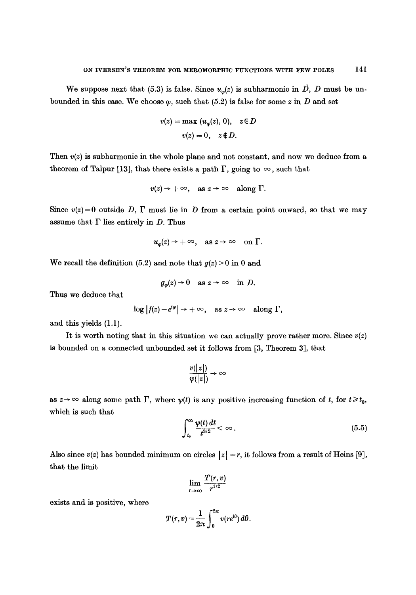We suppose next that (5.3) is false. Since  $u_{\varphi}(z)$  is subharmonic in  $\overline{D}$ , D must be unbounded in this case. We choose  $\varphi$ , such that (5.2) is false for some z in D and set

$$
v(z) = \max (u_{\varphi}(z), 0), \quad z \in D
$$
  

$$
v(z) = 0, \quad z \notin D.
$$

Then  $v(z)$  is subharmonic in the whole plane and not constant, and now we deduce from a theorem of Talpur [13], that there exists a path  $\Gamma$ , going to  $\infty$ , such that

$$
v(z) \rightarrow +\infty
$$
, as  $z \rightarrow \infty$  along  $\Gamma$ .

Since  $v(z)=0$  outside D,  $\Gamma$  must lie in D from a certain point onward, so that we may assume that  $\Gamma$  lies entirely in  $D$ . Thus

$$
u_{\varphi}(z) \rightarrow +\infty
$$
, as  $z \rightarrow \infty$  on  $\Gamma$ .

We recall the definition (5.2) and note that  $g(z) > 0$  in 0 and

$$
g_{\varphi}(z) \to 0 \quad \text{as } z \to \infty \quad \text{in } D.
$$

Thus we deduce that

$$
\log |f(z)-e^{i\varphi}| \to +\infty, \quad \text{as } z \to \infty \quad \text{along } \Gamma,
$$

and this yields (1.1).

It is worth noting that in this situation we can actually prove rather more. Since  $v(z)$ is bounded on a connected unbounded set it follows from [3, Theorem 3], that

$$
\frac{v(|z|)}{w(|z|)} \to \infty
$$

as  $z \rightarrow \infty$  along some path  $\Gamma$ , where  $\psi(t)$  is any positive increasing function of t, for  $t \geq t_0$ , which is such that

$$
\int_{t_0}^{\infty} \frac{\psi(t) dt}{t^{3/2}} < \infty \,.
$$
\n(5.5)

Also since  $v(z)$  has bounded minimum on circles  $|z| = r$ , it follows from a result of Heins [9], that the limit

$$
\lim_{r\to\infty}\frac{T(r,v)}{r^{1/2}}
$$

exists and is positive, where

$$
T(r,v)=\frac{1}{2\pi}\int_0^{2\pi}v(re^{i\theta})\,d\theta.
$$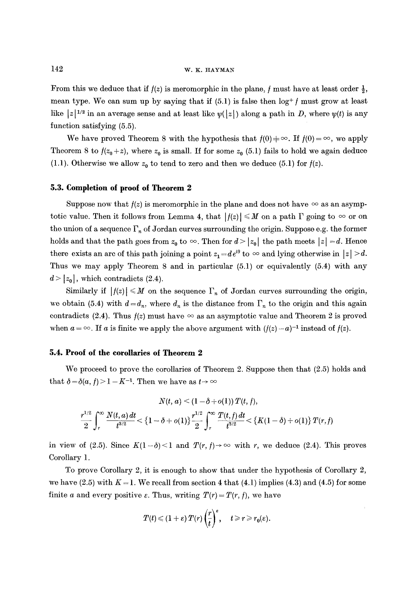## $142$  w.K. HAYMAN

From this we deduce that if  $f(z)$  is meromorphic in the plane, f must have at least order  $\frac{1}{2}$ , mean type. We can sum up by saying that if  $(5.1)$  is false then  $\log^+ f$  must grow at least like  $|z|^{1/2}$  in an average sense and at least like  $\psi(|z|)$  along a path in D, where  $\psi(t)$  is any function satisfying (5.5).

We have proved Theorem 8 with the hypothesis that  $f(0) = \infty$ . If  $f(0) = \infty$ , we apply Theorem 8 to  $f(z_0 + z)$ , where  $z_0$  is small. If for some  $z_0$  (5.1) fails to hold we again deduce (1.1). Otherwise we allow  $z_0$  to tend to zero and then we deduce (5.1) for  $f(z)$ .

#### **5.3. Completion of proof of Theorem 2**

Suppose now that  $f(z)$  is meromorphic in the plane and does not have  $\infty$  as an asymptotic value. Then it follows from Lemma 4, that  $|f(z)| \leq M$  on a path  $\Gamma$  going to  $\infty$  or on the union of a sequence  $\Gamma_n$  of Jordan curves surrounding the origin. Suppose e.g. the former holds and that the path goes from  $z_0$  to  $\infty$ . Then for  $d > |z_0|$  the path meets  $|z| = d$ . Hence there exists an arc of this path joining a point  $z_1 = de^{i\theta}$  to  $\infty$  and lying otherwise in  $|z| > d$ . Thus we may apply Theorem 8 and in particular (5.1) or equivalently (5.4) with any  $d > |z_0|$ , which contradicts (2.4).

Similarly if  $|f(z)| \leq M$  on the sequence  $\Gamma_n$  of Jordan curves surrounding the origin, we obtain (5.4) with  $d = d_n$ , where  $d_n$  is the distance from  $\Gamma_n$  to the origin and this again contradicts (2.4). Thus  $f(z)$  must have  $\infty$  as an asymptotic value and Theorem 2 is proved when  $a = \infty$ . If a is finite we apply the above argument with  $(f(z) - a)^{-1}$  instead of  $f(z)$ .

#### **5.4. Proof of the corollaries of Theorem 2**

We proceed to prove the corollaries of Theorem 2. Suppose then that (2.5) holds and that  $\delta = \delta(a,f) > 1 - K^{-1}$ . Then we have as  $t \to \infty$ 

$$
N(t,a) < (1-\delta + o(1)) \, T(t,f),
$$
  

$$
\frac{r^{1/2}}{2} \int_r^{\infty} \frac{N(t,a) \, dt}{t^{3/2}} < \{1-\delta + o(1)\} \frac{r^{1/2}}{2} \int_r^{\infty} \frac{T(t,f) \, dt}{t^{3/2}} < \{K(1-\delta) + o(1)\} \, T(r,f)
$$

in view of (2.5). Since  $K(1-\delta) < 1$  and  $T(r, f) \to \infty$  with r, we deduce (2.4). This proves Corollary 1.

To prove Corollary 2, it is enough to show that under the hypothesis of Corollary 2, we have  $(2.5)$  with  $K = 1$ . We recall from section 4 that  $(4.1)$  implies  $(4.3)$  and  $(4.5)$  for some finite a and every positive  $\varepsilon$ . Thus, writing  $T(r) = T(r, f)$ , we have

$$
T(t) \leqslant (1+\varepsilon) T(r) \left(\frac{r}{t}\right)^{\varepsilon}, \quad t \geqslant r \geqslant r_0(\varepsilon).
$$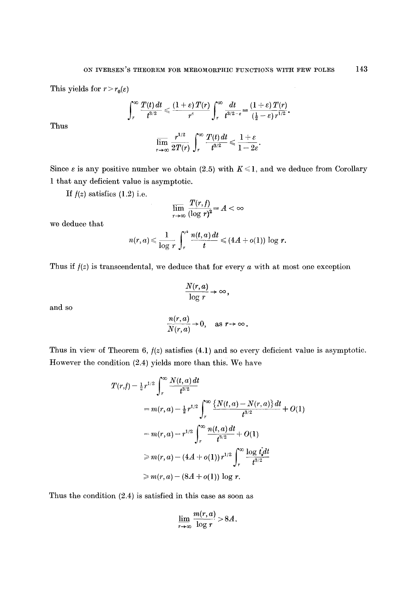This yields for  $r > r_0(\varepsilon)$ 

$$
\int_r^{\infty} \frac{T(t)\,dt}{t^{3/2}} \leqslant \frac{\left(1+\varepsilon\right)T(r)}{r^{\varepsilon}}\int_r^{\infty} \frac{dt}{t^{3/2-\varepsilon}} = \frac{\left(1+\varepsilon\right)T(r)}{\left(\frac{1}{2}-\varepsilon\right)r^{1/2}}.
$$

Thus

$$
\varlimsup_{r\to\infty}\frac{r^{1/2}}{2T(r)}\int_r^\infty\frac{T(t)\,dt}{t^{3/2}}\leqslant\frac{1+\varepsilon}{1-2\varepsilon}.
$$

Since  $\varepsilon$  is any positive number we obtain (2.5) with  $K \leq 1$ , and we deduce from Corollary 1 that any deficient value is asymptotic.

If  $f(z)$  satisfies (1.2) i.e.

$$
\lim_{r\to\infty}\frac{T(r,f)}{(\log r)^2}=A<\infty
$$

we deduce that

$$
n(r,a) \leqslant \frac{1}{\log r} \int_r^{r^2} \frac{n(t,a) dt}{t} \leqslant (4A + o(1)) \log r.
$$

Thus if  $f(z)$  is transcendental, we deduce that for every  $a$  with at most one exception

$$
\frac{N(r,a)}{\log r}\to\infty,
$$

 $\frac{n(r,a)}{N(r,a)} \to 0$ , as  $r \to \infty$ .

and so

Thus in view of Theorem 6, 
$$
f(z)
$$
 satisfies (4.1) and so every deficient value is asymptotic. However the condition (2.4) yields more than this. We have

$$
T(r,f) - \frac{1}{2}r^{1/2} \int_{r}^{\infty} \frac{N(t,a) dt}{t^{3/2}}
$$
  
=  $m(r,a) - \frac{1}{2}r^{1/2} \int_{r}^{\infty} \frac{\{N(t,a) - N(r,a)\} dt}{t^{3/2}} + O(1)$   
=  $m(r,a) - r^{1/2} \int_{r}^{\infty} \frac{n(t,a) dt}{t^{3/2}} + O(1)$   
 $\geq m(r,a) - (4A + o(1)) r^{1/2} \int_{r}^{\infty} \frac{\log t dt}{t^{3/2}}$   
 $\geq m(r,a) - (8A + o(1)) \log r.$ 

Thus the condition (2.4) is satisfied in this case as soon as

$$
\lim_{r\to\infty}\frac{m(r,a)}{\log r}>8A.
$$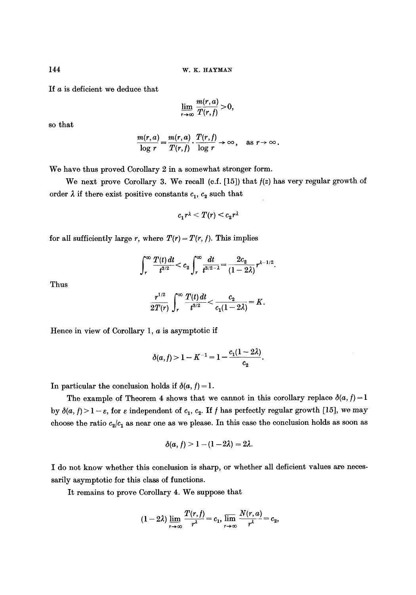If a is deficient we deduce that

$$
\lim_{r\to\infty}\frac{m(r,a)}{T(r,f)}>0,
$$

so that

$$
\frac{m(r,a)}{\log r} = \frac{m(r,a)}{T(r,f)} \cdot \frac{T(r,f)}{\log r} \to \infty, \text{ as } r \to \infty.
$$

We have thus proved Corollary 2 in a somewhat stronger form.

We next prove Corollary 3. We recall (c.f.  $[15]$ ) that  $f(z)$  has very regular growth of order  $\lambda$  if there exist positive constants  $c_1, c_2$  such that

$$
c_1r^{\lambda} < T(r) < c_2r^{\lambda}
$$

for all sufficiently large r, where  $T(r) = T(r, f)$ . This implies

$$
\int_r^{\infty} \frac{T(t)\,dt}{t^{3/2}} < c_2 \int_r^{\infty} \frac{dt}{t^{3/2-\lambda}} = \frac{2c_2}{(1-2\lambda)} r^{\lambda-1/2}.
$$

Thus

$$
\frac{r^{1/2}}{2T(r)}\int_r^{\infty}\frac{T(t)\,dt}{t^{3/2}}<\frac{c_2}{c_1(1-2\lambda)}=K.
$$

Hence in view of Corollary 1,  $a$  is asymptotic if

$$
\delta(a,f) > 1 - K^{-1} = 1 - \frac{c_1(1-2\lambda)}{c_2}.
$$

In particular the conclusion holds if  $\delta(a, f) = 1$ .

The example of Theorem 4 shows that we cannot in this corollary replace  $\delta(a, f) = 1$ by  $\delta(a, f) > 1 - \varepsilon$ , for  $\varepsilon$  independent of  $c_1, c_2$ . If f has perfectly regular growth [15], we may choose the ratio  $c_2/c_1$  as near one as we please. In this case the conclusion holds as soon as

$$
\delta(a, f) > 1 - (1 - 2\lambda) = 2\lambda.
$$

I do not know whether this conclusion is sharp, or whether all deficient values are necessarily asymptotic for this class of functions.

It remains to prove Corollary 4. We suppose that

$$
(1-2\lambda)\lim_{r\to\infty}\frac{T(r,t)}{r^{\lambda}}=c_1,\lim_{r\to\infty}\frac{N(r,a)}{r^{\lambda}}=c_2,
$$

144